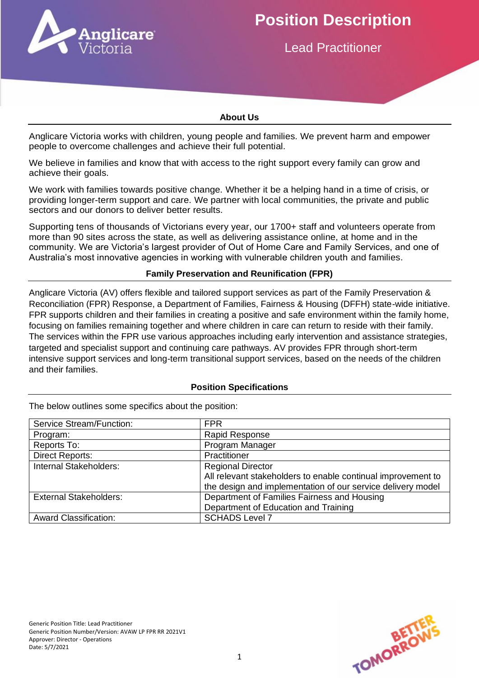

# **Position Description**

Lead Practitioner

#### **About Us**

Anglicare Victoria works with children, young people and families. We prevent harm and empower people to overcome challenges and achieve their full potential.

We believe in families and know that with access to the right support every family can grow and achieve their goals.

We work with families towards positive change. Whether it be a helping hand in a time of crisis, or providing longer-term support and care. We partner with local communities, the private and public sectors and our donors to deliver better results.

Supporting tens of thousands of Victorians every year, our 1700+ staff and volunteers operate from more than 90 sites across the state, as well as delivering assistance online, at home and in the community. We are Victoria's largest provider of Out of Home Care and Family Services, and one of Australia's most innovative agencies in working with vulnerable children youth and families.

#### **Family Preservation and Reunification (FPR)**

Anglicare Victoria (AV) offers flexible and tailored support services as part of the Family Preservation & Reconciliation (FPR) Response, a Department of Families, Fairness & Housing (DFFH) state-wide initiative. FPR supports children and their families in creating a positive and safe environment within the family home, focusing on families remaining together and where children in care can return to reside with their family. The services within the FPR use various approaches including early intervention and assistance strategies, targeted and specialist support and continuing care pathways. AV provides FPR through short-term intensive support services and long-term transitional support services, based on the needs of the children and their families.

#### **Position Specifications**

| Service Stream/Function:      | <b>FPR</b>                                                   |
|-------------------------------|--------------------------------------------------------------|
| Program:                      | Rapid Response                                               |
| Reports To:                   | Program Manager                                              |
| <b>Direct Reports:</b>        | Practitioner                                                 |
| Internal Stakeholders:        | <b>Regional Director</b>                                     |
|                               | All relevant stakeholders to enable continual improvement to |
|                               | the design and implementation of our service delivery model  |
| <b>External Stakeholders:</b> | Department of Families Fairness and Housing                  |
|                               | Department of Education and Training                         |
| <b>Award Classification:</b>  | <b>SCHADS Level 7</b>                                        |

The below outlines some specifics about the position:

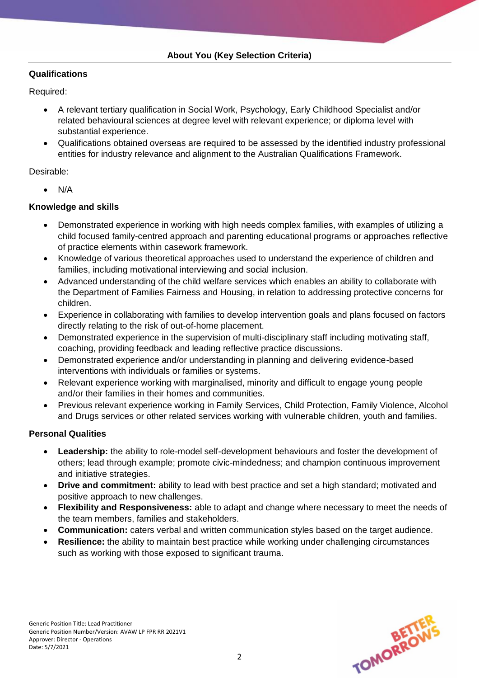## **Qualifications**

Required:

- A relevant tertiary qualification in Social Work, Psychology, Early Childhood Specialist and/or related behavioural sciences at degree level with relevant experience; or diploma level with substantial experience.
- Qualifications obtained overseas are required to be assessed by the identified industry professional entities for industry relevance and alignment to the Australian Qualifications Framework.

# Desirable:

N/A

# **Knowledge and skills**

- Demonstrated experience in working with high needs complex families, with examples of utilizing a child focused family-centred approach and parenting educational programs or approaches reflective of practice elements within casework framework.
- Knowledge of various theoretical approaches used to understand the experience of children and families, including motivational interviewing and social inclusion.
- Advanced understanding of the child welfare services which enables an ability to collaborate with the Department of Families Fairness and Housing, in relation to addressing protective concerns for children.
- Experience in collaborating with families to develop intervention goals and plans focused on factors directly relating to the risk of out-of-home placement.
- Demonstrated experience in the supervision of multi-disciplinary staff including motivating staff, coaching, providing feedback and leading reflective practice discussions.
- Demonstrated experience and/or understanding in planning and delivering evidence-based interventions with individuals or families or systems.
- Relevant experience working with marginalised, minority and difficult to engage young people and/or their families in their homes and communities.
- Previous relevant experience working in Family Services, Child Protection, Family Violence, Alcohol and Drugs services or other related services working with vulnerable children, youth and families.

## **Personal Qualities**

- **Leadership:** the ability to role-model self-development behaviours and foster the development of others; lead through example; promote civic-mindedness; and champion continuous improvement and initiative strategies.
- **Drive and commitment:** ability to lead with best practice and set a high standard; motivated and positive approach to new challenges.
- **Flexibility and Responsiveness:** able to adapt and change where necessary to meet the needs of the team members, families and stakeholders.
- **Communication:** caters verbal and written communication styles based on the target audience.
- **Resilience:** the ability to maintain best practice while working under challenging circumstances such as working with those exposed to significant trauma.

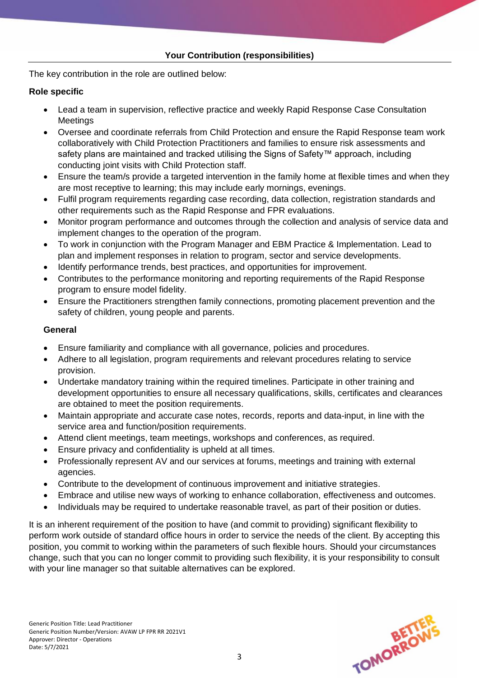The key contribution in the role are outlined below:

## **Role specific**

- Lead a team in supervision, reflective practice and weekly Rapid Response Case Consultation **Meetings**
- Oversee and coordinate referrals from Child Protection and ensure the Rapid Response team work collaboratively with Child Protection Practitioners and families to ensure risk assessments and safety plans are maintained and tracked utilising the Signs of Safety™ approach, including conducting joint visits with Child Protection staff.
- Ensure the team/s provide a targeted intervention in the family home at flexible times and when they are most receptive to learning; this may include early mornings, evenings.
- Fulfil program requirements regarding case recording, data collection, registration standards and other requirements such as the Rapid Response and FPR evaluations.
- Monitor program performance and outcomes through the collection and analysis of service data and implement changes to the operation of the program.
- To work in conjunction with the Program Manager and EBM Practice & Implementation. Lead to plan and implement responses in relation to program, sector and service developments.
- Identify performance trends, best practices, and opportunities for improvement.
- Contributes to the performance monitoring and reporting requirements of the Rapid Response program to ensure model fidelity.
- Ensure the Practitioners strengthen family connections, promoting placement prevention and the safety of children, young people and parents.

## **General**

- Ensure familiarity and compliance with all governance, policies and procedures.
- Adhere to all legislation, program requirements and relevant procedures relating to service provision.
- Undertake mandatory training within the required timelines. Participate in other training and development opportunities to ensure all necessary qualifications, skills, certificates and clearances are obtained to meet the position requirements.
- Maintain appropriate and accurate case notes, records, reports and data-input, in line with the service area and function/position requirements.
- Attend client meetings, team meetings, workshops and conferences, as required.
- Ensure privacy and confidentiality is upheld at all times.
- Professionally represent AV and our services at forums, meetings and training with external agencies.
- Contribute to the development of continuous improvement and initiative strategies.
- Embrace and utilise new ways of working to enhance collaboration, effectiveness and outcomes.
- Individuals may be required to undertake reasonable travel, as part of their position or duties.

It is an inherent requirement of the position to have (and commit to providing) significant flexibility to perform work outside of standard office hours in order to service the needs of the client. By accepting this position, you commit to working within the parameters of such flexible hours. Should your circumstances change, such that you can no longer commit to providing such flexibility, it is your responsibility to consult with your line manager so that suitable alternatives can be explored.

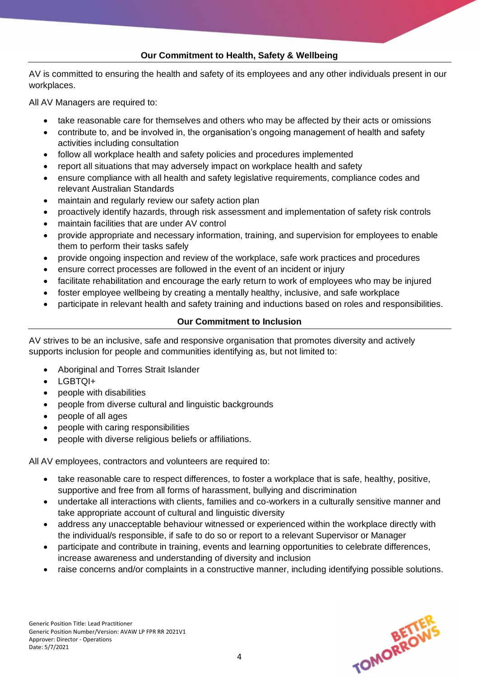## **Our Commitment to Health, Safety & Wellbeing**

AV is committed to ensuring the health and safety of its employees and any other individuals present in our workplaces.

All AV Managers are required to:

- take reasonable care for themselves and others who may be affected by their acts or omissions
- contribute to, and be involved in, the organisation's ongoing management of health and safety activities including consultation
- follow all workplace health and safety policies and procedures implemented
- report all situations that may adversely impact on workplace health and safety
- ensure compliance with all health and safety legislative requirements, compliance codes and relevant Australian Standards
- maintain and regularly review our safety action plan
- proactively identify hazards, through risk assessment and implementation of safety risk controls
- maintain facilities that are under AV control
- provide appropriate and necessary information, training, and supervision for employees to enable them to perform their tasks safely
- provide ongoing inspection and review of the workplace, safe work practices and procedures
- ensure correct processes are followed in the event of an incident or injury
- facilitate rehabilitation and encourage the early return to work of employees who may be injured
- foster employee wellbeing by creating a mentally healthy, inclusive, and safe workplace
- participate in relevant health and safety training and inductions based on roles and responsibilities.

# **Our Commitment to Inclusion**

AV strives to be an inclusive, safe and responsive organisation that promotes diversity and actively supports inclusion for people and communities identifying as, but not limited to:

- Aboriginal and Torres Strait Islander
- LGBTQI+
- people with disabilities
- people from diverse cultural and linguistic backgrounds
- people of all ages
- people with caring responsibilities
- people with diverse religious beliefs or affiliations.

All AV employees, contractors and volunteers are required to:

- take reasonable care to respect differences, to foster a workplace that is safe, healthy, positive, supportive and free from all forms of harassment, bullying and discrimination
- undertake all interactions with clients, families and co-workers in a culturally sensitive manner and take appropriate account of cultural and linguistic diversity
- address any unacceptable behaviour witnessed or experienced within the workplace directly with the individual/s responsible, if safe to do so or report to a relevant Supervisor or Manager
- participate and contribute in training, events and learning opportunities to celebrate differences, increase awareness and understanding of diversity and inclusion
- raise concerns and/or complaints in a constructive manner, including identifying possible solutions.